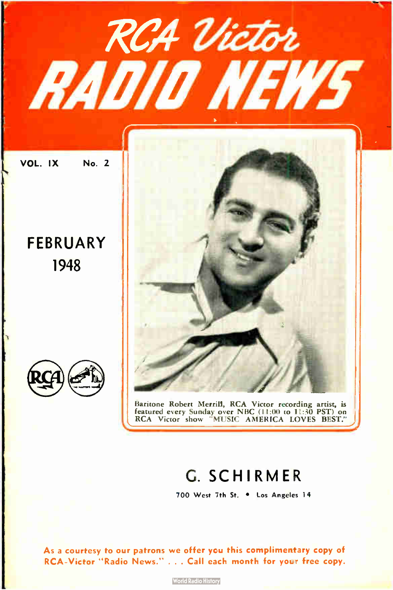

### G. SCHIRMER

700 West 7th St. • Los Angeles 14

As a courtesy to our patrons we offer you this complimentary copy of RCA-Victor "Radio News." . . . Call each month for your free copy.

**World Radio History**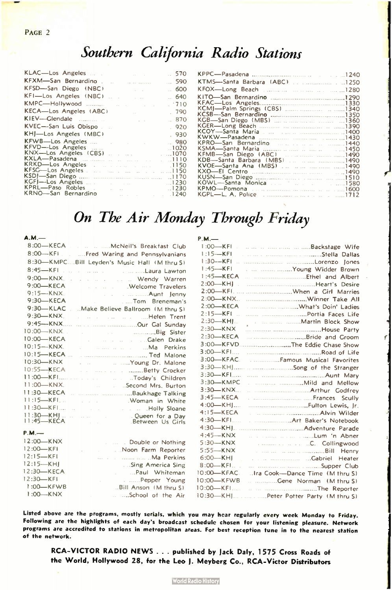## Southern California Radio Stations

| KLAC—Los Angeles  570                                                                                                                                                                                                                               |      |
|-----------------------------------------------------------------------------------------------------------------------------------------------------------------------------------------------------------------------------------------------------|------|
| KFXM—San Bernardino   590                                                                                                                                                                                                                           |      |
|                                                                                                                                                                                                                                                     |      |
|                                                                                                                                                                                                                                                     |      |
|                                                                                                                                                                                                                                                     |      |
| KECA-Los Angeles (ABC) [1990] [1990]                                                                                                                                                                                                                |      |
| KIEV—Glendale and and a series of the series of the series of the series of the series of the series                                                                                                                                                | .870 |
|                                                                                                                                                                                                                                                     |      |
|                                                                                                                                                                                                                                                     |      |
| KFWB-Los Angeles  Change and the set of the set of the set of the set of the set of the set of the set of the set of the set of the set of the set of the set of the set of the set of the set of the set of the set of th<br>KRKD-Los Angeles 1150 |      |
|                                                                                                                                                                                                                                                     |      |
|                                                                                                                                                                                                                                                     |      |

| KGB-San Diego (MBS)       1360     |  |
|------------------------------------|--|
|                                    |  |
|                                    |  |
|                                    |  |
| KPRO-San Bernardino 1440           |  |
|                                    |  |
| KFMB-San Diego (ABC) 1490          |  |
| KDB----Santa Barbara (MBS)    1490 |  |
| KVOE-Santa Ana (MBS)      1490     |  |
|                                    |  |
|                                    |  |
|                                    |  |
|                                    |  |
|                                    |  |

### On The Air Monday Through Friday

| A.M.                                                                                                                                                                                                                                               | $P.M.$ —                                                              |
|----------------------------------------------------------------------------------------------------------------------------------------------------------------------------------------------------------------------------------------------------|-----------------------------------------------------------------------|
| 8:00-KECA McNeil's Breakfast Club                                                                                                                                                                                                                  | 1:00-KFI Backstage Wife                                               |
| 8:00-KFI  Ered Waring and Pennsylvanians                                                                                                                                                                                                           | $1:15 - KFI$<br>and the community of the state of the Stella Dallas   |
| 8:30-KMPCBill Leyden's Music Hall (M thru S)                                                                                                                                                                                                       |                                                                       |
| $8:45 - KFI$<br>a construction of the control Laura Lawfon                                                                                                                                                                                         | $1:45 - KFI$<br>Midder Brown (Miller Brown)                           |
| $9:00$ <sub>KNX</sub><br>wendy Warren                                                                                                                                                                                                              |                                                                       |
| 9:00-KECA<br><b>Example 2018</b> Welcome Travelers                                                                                                                                                                                                 |                                                                       |
| $9:15 - KNX$<br><b>Example 2019</b> Contract Contract Contract Contract Contract Contract Contract Contract Contract Contract Contract Contract Contract Contract Contract Contract Contract Contract Contract Contract Contract Contract Contract |                                                                       |
| 9:30-KECA<br>Tom Breneman's                                                                                                                                                                                                                        |                                                                       |
| $9:30-KLAC$<br>Make Believe Ballroom (M thru S)                                                                                                                                                                                                    | 2:00-KECA What's Doin' Ladies                                         |
| $9:30-KNX$<br>and the contract of the Helen Trent                                                                                                                                                                                                  |                                                                       |
| $9:45 - KNX$                                                                                                                                                                                                                                       | $2:30$ —KHI.<br>and the manufacturer metallicity of Martin Block Show |
| 10:00-KNX.<br><b>Big Sister</b>                                                                                                                                                                                                                    | $2:30-KNX$                                                            |
| 10:00-KECA<br>and the contract of the Calen Drake                                                                                                                                                                                                  | $2:30$ -KECA<br>Bride and Groom                                       |
| $10:15 - KNX$ .<br>and the company of the state of the May Perkins                                                                                                                                                                                 | 3:00-KFVDThe Eddie Chase Show                                         |
| $10:15$ -KECA                                                                                                                                                                                                                                      |                                                                       |
| $10:30 - KNX$<br>. Young Dr. Malone                                                                                                                                                                                                                | $3:00$ —KFAC                                                          |
| 10:55-KECA<br><b>Contact Contact Contact Contact Crocker</b>                                                                                                                                                                                       |                                                                       |
| $11:00$ -KFI<br>contract to the controller of the controller of the controller of the controller of the controller of the controller                                                                                                               |                                                                       |
| $11:00$ -KNX.<br><b>Example 2015</b> Second Mrs. Burton                                                                                                                                                                                            | 3:30-KMPC<br>Mild and Mellow                                          |
| 11:30-KECA                                                                                                                                                                                                                                         | $3:30-KNX$<br>Determination of the Arthur Godfrey                     |
| $11:15 - KFI$<br><b>Example 2018</b> Woman in White                                                                                                                                                                                                | $3:45$ -KECA                                                          |
|                                                                                                                                                                                                                                                    | $4:00$ KH<br>Fulton Lewis, Ir.                                        |
|                                                                                                                                                                                                                                                    | $4:15-KECA$                                                           |
|                                                                                                                                                                                                                                                    | $4:30$ KFI                                                            |
| $P.M.$ —                                                                                                                                                                                                                                           | $4:30-KHI$<br>More Parade<br>$4:45-KNX$                               |
| $12:00 - KNX$<br><b>Example 1</b> Double or Nothing                                                                                                                                                                                                | the communication of the Lum I'm Abner<br>$5:30-KNX$                  |
| 12:00-KFI<br>Noon Farm Reporter                                                                                                                                                                                                                    | <b>C. Collingwood</b><br>$5:55-KNX$                                   |
| $12:15 - KFI$<br>Ma Perkins                                                                                                                                                                                                                        | $6:00 - KH$                                                           |
| $12:15 - KHI$<br>Sing America Sing                                                                                                                                                                                                                 | $8:00$ -KFI.                                                          |
| 12:30-KECA<br>. Paul Whiteman                                                                                                                                                                                                                      | 10:00-KFAC.<br>Ira Cook-Dance Time (M thru S)                         |
| 12:30-KFI<br>Pepper Young<br><b>College</b>                                                                                                                                                                                                        | 10:00-KFWB<br>Cene Norman (M thru S)                                  |
| $1:00$ -KFWB<br>Bill Anson (M thru S)                                                                                                                                                                                                              | $10:00$ KFI<br>The Reporter                                           |
| $1:00 - KNX$<br>School of the Air                                                                                                                                                                                                                  | 10:30-KHJ Peter Potter Party (M thru S)                               |
|                                                                                                                                                                                                                                                    |                                                                       |

Listed above are the programs, mostly serials, which you may hear regularly every week Monday to Friday. Following are the highlights of each day's broadcast schedule chosen for your listening pleasure. Network programs are accredited to stations in metropolitan areas. For best reception tune in to the nearest station of the network.

RCA- VICTOR RADIO NEWS . .. published by jack Daly, 1575 Cross Roads of the World. Hollywood 28, for the Leo J. Meyberg Co., RCA- Victor Distributors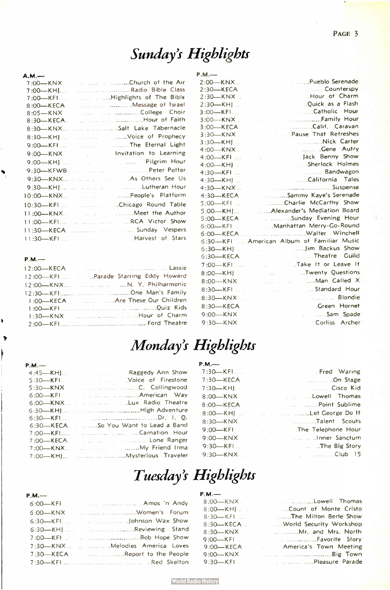## Sunday's Highlights

| A.M.—                                           |
|-------------------------------------------------|
| Church of the Air<br>7:00—KNX.                  |
| 7:00—KHJ…                                       |
| Highlights of The Bible<br>7:00—KFI             |
| 8:00—KECA                                       |
| $8:05 - KNX$                                    |
| and the continuum Hour of Faith<br>$8:30$ KECA. |
| Salt Lake Tabernacle<br>8:30—KNX…               |
| man and manufacturer of Prophecy<br>$8:30$ —KH] |
| 9:00-KFI The Eternal Light                      |
| 9:00-KNX  . Invitation to Learning              |
|                                                 |
|                                                 |
| 9:30-KNX       As Others See Us                 |
|                                                 |
| 10:00—KNX               People's   Platform     |
| 10:30-KFI  Chicago Round Table                  |
|                                                 |
| 11:00—KFL      RCA Victor Show                  |
| Sunday Vespers<br>11:30—KECA                    |
| Harvest of Stars                                |

### P.M.-

Ń

b Þ

| 12:00-KECA                        | <b>Exercise Communication Cassie</b> |  |  |
|-----------------------------------|--------------------------------------|--|--|
|                                   |                                      |  |  |
|                                   |                                      |  |  |
|                                   |                                      |  |  |
| 1:00-KECA  Are These Our Children |                                      |  |  |
|                                   |                                      |  |  |
|                                   |                                      |  |  |
|                                   |                                      |  |  |

| $P.M.$ —      |                                                      |
|---------------|------------------------------------------------------|
| $2:00$ $-KNX$ | . Pueblo Serenade                                    |
| $2:30-KECA$   | Counterspy                                           |
| $2:30-KNX$    | Hour of Charm                                        |
| $2:30$ -KHJ.  | Ouick as a Flash                                     |
| $3:00 - KFI$  | Catholic Hour                                        |
| $3:00$ -KNX.  |                                                      |
| $3:00$ -KECA  | Calif. Caravan                                       |
| $3:30-KNX$    | . Pause That Refreshes                               |
| $3:30-KH$ ]   | Nick Carter                                          |
| $4:00$ $-KNX$ | Cene Autry                                           |
| $4:00$ -KFI   | Llack Benny Show<br>and the control of the           |
| $4:00$ —KHI.  | Sherlock Holmes                                      |
| $4:30 - KFI$  | Bandwagon<br><b>College</b>                          |
| 4:30-KH       | California Tales                                     |
| $4:30-KNX$    |                                                      |
| $4:30-KECA$   | Sammy Kaye's Serenade                                |
| $5:00$ -KFI.  | Charlie McCarthy Show                                |
| 5:00-KHJ      | Alexander's Mediation Board                          |
| 5:00-KECA     | . Sunday Evening Hour                                |
| $6:00$ KFI.   | Manhattan Merry-Go-Round                             |
|               |                                                      |
|               | 6:30-KFI  American Album of Familiar Music           |
| $6:30$ —KHJ.  | control of the mail Jim Backus Show                  |
| 6:30-KECA.    | Theatre Guild<br><b>Contract</b>                     |
| 7:00-KFI      | and the state of the Leave It                        |
| $8:00$ -KHJ.  | Twenty Questions<br><b>Service</b>                   |
| $8:00$ -KNX.  | man Called X                                         |
| $8:30$ KFI    | and the standard Hour                                |
| $8:30$ $-KNX$ | <b>Blondie</b><br>a construction of the committee of |
| 8:30-KECA     | Creen Hornet                                         |
| $9:00-KNX$    | Sam Spade<br><b>Service</b>                          |
| $9:30-KNX$    | Corliss Archer                                       |
|               | <b>START</b>                                         |

### Monday's Highlights

| $P.M.$ —    |                                           |
|-------------|-------------------------------------------|
| $4:45 - KH$ | <b>Example 20 Inches</b> Raggedy Ann Show |
| $5:30$ KFI. | Moice of Firestone (Noice of Allender     |
| $5:30$ —KNX | man and manufacturers. C. Collingwood     |
|             |                                           |
|             | 6:00-KNX      Lux Radio Theatre           |
|             |                                           |
|             |                                           |
|             | 6:30-KECASo You Want to Lead a Band       |
|             | 7:00-KFI   Carnation Hour                 |
|             | 7:00—KECA. Lone Ranger                    |
|             | 7:00-KNX  My Friend Irma                  |
|             |                                           |

| $P.M.$ ——      |                                                                                                                                                                                                                                      |
|----------------|--------------------------------------------------------------------------------------------------------------------------------------------------------------------------------------------------------------------------------------|
| $7:30$ —KFI    | <b>Example 2</b> Fred Warring                                                                                                                                                                                                        |
| $7:30-KECA$    | <b>Example 21 Connect Stage</b>                                                                                                                                                                                                      |
| 7:30—KHI       | <b>Cisco Kid Kid Cisco Kid</b>                                                                                                                                                                                                       |
| $8:00$ -KNX.   | and the state of the Lowell Thomas                                                                                                                                                                                                   |
| $8:00$ $-KECA$ | <b>Example 2.1 A. A. S. A. Point Sublime</b>                                                                                                                                                                                         |
| $8:00$ KH.     | <b>Example 20 Inc., and Security Let George Do It</b>                                                                                                                                                                                |
| $8:30$ KNX.    | and the countries of the County Talent Scouts                                                                                                                                                                                        |
| $9:00$ -KFI.   | The Telephone Hour                                                                                                                                                                                                                   |
| $9:00-KNX$     | <b>Contract Contract Contract Contract Contract Contract Contract Contract Contract Contract Contract Contract Contract Contract Contract Contract Contract Contract Contract Contract Contract Contract Contract Contract Contr</b> |
| $9:30$ - KFI   | <b>Example 12</b> International Article 2015, The Big Story                                                                                                                                                                          |
|                | 9:30—KNX         Club 15                                                                                                                                                                                                             |

## Tuesday's Highlights

| $P.M.$ —                         | $P.M.$ —                                                 |
|----------------------------------|----------------------------------------------------------|
| $6:00$ KFI                       | <b>Example 2018</b> Lowell Thomas<br>$8:00$ —KNX         |
| $6:00$ -KNX                      | Count of Monte Cristo<br>$8:00$ —KHI.                    |
|                                  | 8:30-KFI  The Milton Berle Show                          |
|                                  | 8:30-KECA  World Security Workshop                       |
|                                  |                                                          |
|                                  |                                                          |
| 7:30-KNX  Melodies America Loves | <b>Example 21 America's Town Meeting</b><br>$9:00$ -KECA |
| 7:30-KECA Report to the People   |                                                          |
|                                  |                                                          |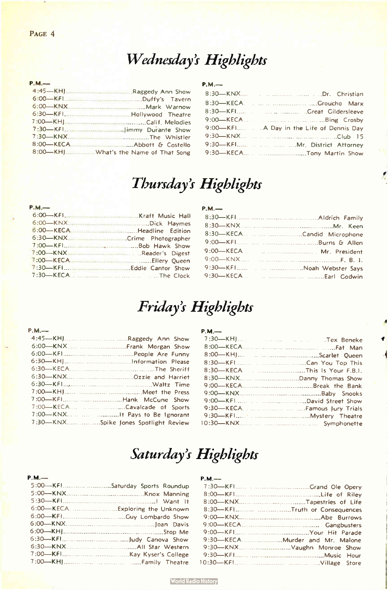## Wednesday's Highlights

### P.M.-

### P.M.-

| 9:00-KFI A Day in the Life of Dennis Day |
|------------------------------------------|
|                                          |
|                                          |
|                                          |

 $\vec{r}$ 

## Thursday's Highlights

### P.M.-

| 6:00-KECA Handline Edition |  |
|----------------------------|--|
|                            |  |
|                            |  |
|                            |  |
|                            |  |
|                            |  |
|                            |  |

### $P.M.$

### Friday's Highlights

### P.M.— P.M.-

| 7:00-KECA Cavalcade of Sports        |  |
|--------------------------------------|--|
| 7:00-KNX   It Pays to Be Ignorant    |  |
| 7:30-KNXSpike Jones Spotlight Review |  |
|                                      |  |

### Saturday's Highlights

| $P.M.$ —                        | $P.M.$ ——                     |
|---------------------------------|-------------------------------|
| 5:00-KFISaturday Sports Roundup |                               |
|                                 |                               |
|                                 |                               |
|                                 | 8:30-KFITruth or Consequences |
|                                 |                               |
|                                 |                               |
|                                 |                               |
|                                 |                               |
|                                 |                               |
|                                 |                               |
|                                 |                               |

### P I

| 8:30-KFITruth or Consequences |
|-------------------------------|
|                               |
|                               |
|                               |
|                               |
|                               |
|                               |
|                               |
|                               |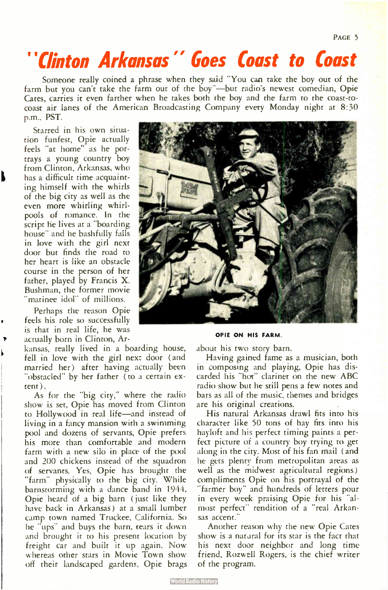PAGE<sub>5</sub>

# "Clinton Arkansas" Goes Coast to Coast

Someone really coined a phrase when they said You can take the boy out of the farm but you can't take the farm out of the boy"—but radio's newest comedian, Opie Cates, carries it even farther when he takes both the boy and the farm to the coast-tocoast air lanes of the American Broadcasting Company every Monday night at 8:30 p.m., PST.

Starred in his own situation funfest, Opie actually feels "at home" as he portrays a young country boy from Clinton, Arkansas, who has a difficult time acquainting himself with the whirls of the big city as well as the even more whirling whirlpools of romance. In the script he lives at a "boarding house" and he bashfully falls in love with the girl next door but finds the road to her heart is like an obstacle course in the person of her father, played by Francis X. Bushman, the former movie 'matinee idol" of millions.

Perhaps the reason Opie feels his role so successfully is that in real life, he was actually born in Clinton, Ar-

kansas, really lived in a boarding house, fell in love with the girl next door ( and married her) after having actually been "obstacled" by her father (to a certain extent ).

As for the "big city," where the radio show is set, Opie has moved from Clinton to Hollywood in real life—and instead of living in a fancy mansion with a swimming pool and dozens of servants, Opie prefers his more than comfortable and modern farm with a new silo in place of the pool and 200 chickens instead of the squadron of servants. Yes, Opie has brought the "farm" physically to the big city. While barnstorming with a dance band in 1944, Opie heard of a big barn ( just like they have back in Arkansas) at a small lumber camp town named Truckee, California. So he "ups" and buys the barn, tears it down and brought it to his present location by freight car and built it up again. Now whereas other stars in Movie Town show off their landscaped gardens, Opie brags



OPIE ON HIS FARM.

about his two story barn.

Having gained fame as a musician, both in composing and playing, Opie has discarded his "hot" clarinet on the new ABC radio show but he still pens a few notes and bars as all of the music, themes and bridges are his original creations.

His natural Arkansas drawl fits into his character like 50 tons of hay fits into his hayloft and his perfect timing paints a perfea picture of a country boy trying to get along in the city. Most of his fan mail ( and he gets plenty from metropolitan areas as well as the midwest agricultural regions) compliments Opie on his portrayal of the "farmer boy" and hundreds of letters pour in every week praising Opie for his "almost perfect" rendition of a "real Arkansas accent."

Another reason why the new Opie Cates show is a natural for its star is the fact that his next door neighbor and long time friend, Rozwell Rogers, is the chief writer of the program.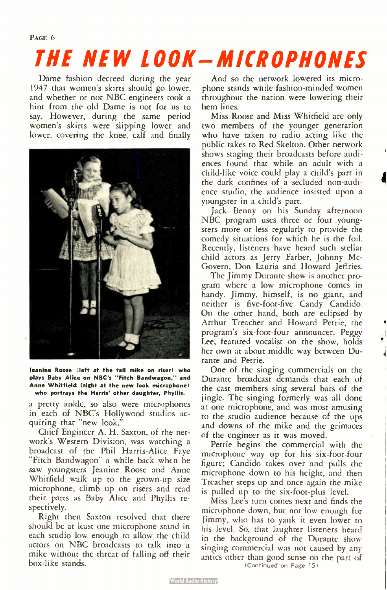# THE NEW LOOK - MICROPHONES

Dame fashion decreed during the year 1947 that women's skirts should go lower, and whether or not NBC engineers took a hint from the old Dame is not for us to say. However, during the same period women's skirts were slipping lower and lower, covering the knee, calf and finally



Jeanine Roose (left at the tall mike on riser) who plays Baby Alice on NBC's " Fitch Bandwagon," and Anne Whitfield ( right at the new look microphone) who portrays the Harris' other daughter, Phyllis.

a pretty ankle, so also were microphones in each of NBC's Hollywood studios acquiring that "new look."

Chief Engineer A. H. Saxton, of the network's Western Division, was watching a broadcast of the Phil Harris-Alice Faye "Fitch Bandwagon" a while back when he saw youngsters Jeanine Roose and Anne Whitfield walk up to the grown-up size microphone, climb up on risers and read their parts as Baby Alice and Phyllis respectively.

Right then Saxton resolved that there should be at least one microphone stand in each studio low enough to allow the child actors on NBC broadcasts to talk into a mike without the threat of falling off their box-like stands.

And so the network lowered its microphone stands while fashion-minded women throughout the nation were lowering their hem lines.

Miss Roose and Miss Whitfield are only two members of the younger generation who have taken to radio acting like the public takes to Red Skelton. Other network shows staging their broadcasts before audiences found that while an adult with a child-like voice could play a child's part in the dark confines of a secluded non-audience studio, the audience insisted upon a youngster in a child's part.

Jack Benny on his Sunday afternoon NBC program uses three or four youngsters more or less regularly to provide the comedy situations for which he is the foil. Recently, listeners have heard such stellar child actors as Jerry Farber, Johnny Mc-Govern, Don Lauria and Howard Jeffries.

The Jimmy Durante show is another program where a low microphone comes in handy. Jimmy, himself, is no giant, and neither is five-foot-five Candy Candido. On the other hand, both are eclipsed by Arthur Treacher and Howard Petrie, the program's six-foot-four announcer. Peggy Lee, featured vocalist on the show, holds her own at about middle way between Durante and Petrie.

One of the singing commercials on the Durante broadcast demands that each of the cast members sing several bars of the jingle. The singing formerly was all done at one microphone, and was most amusing to the studio audience because of the ups and downs of the mike and the grimaces of the engineer as it was moved.

Petrie begins the commercial with the microphone way up for his six-foot-four figure; Candido takes over and pulls the microphone down to his height, and then Treacher steps up and once again the mike is pulled up to the six- foot-plus level.

Miss Lee's turn comes next and finds the microphone down, but not low enough for Jimmy, who has to yank it even lower to his level. So, that laughter listeners heard in the background of the Durante show singing commercial was not caused by any antics other than good sense on the part of (Continued on Page 15)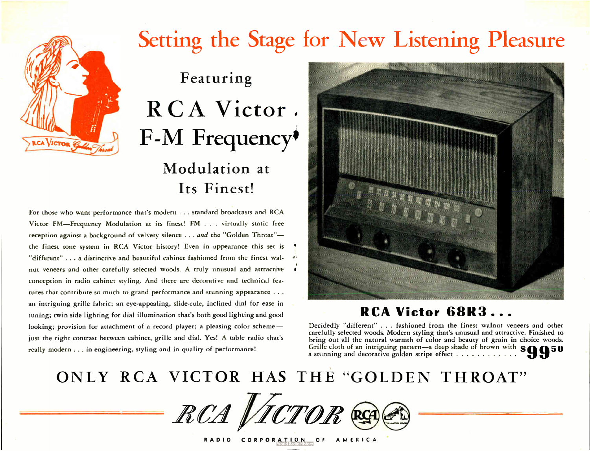# Setting the Stage for New Listening Pleasure

# Featuring RCA Victor. F-M Frequency<sup>\$</sup> Modulation at Its Finest!

For those who want performance that's modern . .. standard broadcasts and RCA Victor FM—Frequency Modulation at its finest! FM . . . virtually static free reception against a background of velvety silence . . . and the "Golden Throat"the finest tone system in RCA Victor history! Even in appearance this set is "different" ... a distinctive and beautiful cabinet fashioned from the finest walnut veneers and other carefully selected woods. A truly unusual and attractive conception in radio cabinet styling. Anti there are decorative and technical features that contribute so much to grand performance and stunning appearance . . . an intriguing grille fabric; an eye-appealing, slide- rule, inclined dial for ease in tuning; twin side lighting for dial illumination that's both good lighting and good looking; provision for attachment of a record player; a pleasing color scheme just the right contrast between cabinet, grille and dial. Yes! A table radio that's really modern ... in engineering, styling and in quality of performance!



### RCA Victor 68R3...

Decidedly "different" . . . fashioned from the finest walnut veneers and other carefully selected woods. Modern styling that's unusual and attractive. Finished to bring out all the natural warmth of color and beauty of grain in choice woods. Grille cloth of an intriguing pattern—a deep shade of brown with  $$ \bigcirc \bigcirc \bigcirc \bigcirc \bigcirc$ a stunning and decorative golden stripe effect  $\dots \dots \dots$ 

# ONLY RCA VICTOR HAS THE "GOLDEN THROAT"

RCA VICTOR R

RADIO CORPORATION OF AMERICA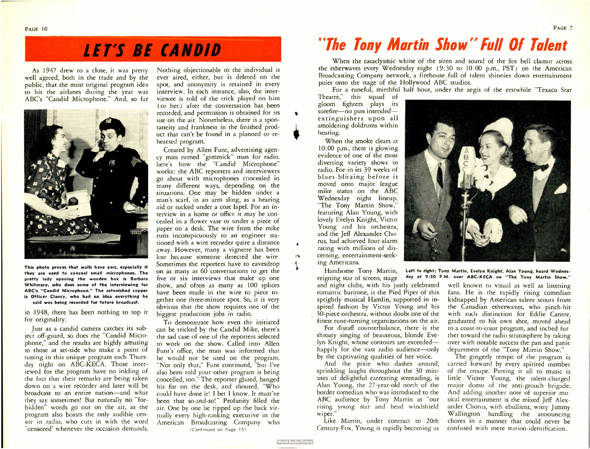# **LET'S BE CANDID**

As 1947 drew to a close, it was pretty well agreed, both in the trade and by the public, that the most original program idea to hit the airlanes during the year was ABC's "Candid Microphone." And, so far



This photo proves that walls have ears, especially if they are used to conceal small microphones. The pretty lady opening the wooden box is Barbara Whitmore, who does some of the interviewing for ABC's " Candid Microphone." The astonished copper is Officer Clancy, who had no idea everything he said was being recorded for future broadcast.

in 1948, there has been nothing to top it for originality.

Just as a candid camera catches its subject off-guard, so does the "Candid Microphone," and the results are highly amusing to those at set-side who make a point of tuning in this unique program each Thursday night on ABC-KECA. Those interiewed for the program have no inkling of the fact that their remarks are being taken down on a wire recorder and later will be broadcast to an entire nation—and what they say sometimes! But naturally no "forbidden" words go out on the air, as the program also boasts the only audible censor in radio, who cuts in with the word "censored' whenever the occasion demands.

Nothing objectionable to the individual is ever aired, either, but is deleted on the spot, and anonymity is retained in every interview. In each instance, also, the interviewee is told of the trick played on him (or her) after the conversation has been recorded, and permission is obtained for its use on the air. Nonetheless, there is a spontaneity and frankness in the finished product that can't be found in a planned or rehearsed program.

Created by Allen Funt, advertising agency man turned "gimmick" man for radio, here's how the "Candid Microphone" works: the ABC reporters and interviewers go about with microphones concealed in many different ways, depending on the situations. One may be hidden under a man's scarf, in an arm sling, as a hearing aid or tucked under a coat lapel. For an interview in a home or office it may be concealed in a flower vase or under a piece of paper on a desk. The wire from the mike runs inconspicuously to an engineer stationed with a wire recorder quite a distance away. However, many a vignette has been lost because someone detected the wire. Sometimes the reporters have to eavesdrop on as many as 60 conversations to get the five or six interviews that make up one show, and often as many as 100 splices have been made in the wire to piece together one three-minute spot. So, it is very obvious that the show requires one of the biggest production jobs in radio.

To demonstrate how even the initiated can be tricked by the Candid Mike, there's the sad case of one of the reporters selected to work on the show. Called into Allen Funt's office, the man was informed that he would not be used on the program. "Not only that," Funt continued, "but I've also been told your other program is being concelled, too." The reporter glared, banged his fist on the desk, and shouted, "Who could have done it! I bet I know. It must've been that so-and-so!" Profanity filled the air. One by one he ripped up the back virtually every high-ranking executive in the American Broadcasting Company who (Continued on Page 15)

# "The Tony Martin Show" full Of Talent

When the cataclysmic whine of the siren and sound of the fire bell clamor across the etherwaves every Wednesday night ( 9:30 to 10:00 p.m., PST) on the American Broadcasting Company network, a firehouse full of talent shinnies down entertainment poles onto the stage of the Hollywood ABC studios.

For a tuneful, mirthful half hour, under the aegis of the erstwhile "Texaco Star

Theatre," this squad of gloom fighters plays its surefire—no pun intended extinguishers upon all smoldering doldrums within hearing.

•

**World Radio Histor** 

When the smoke clears at 10:00 p.m., there is glowing evidence of one of the most diverting variety shows in radio. For in its 39 weeks of blues-blitzing before it moved onto major league mike status on the ABC Wednesday night lineup, "The Tony Martin Show," featuring Alan Young, with lovely Evelyn Knight, Victor Young and his orchestra, and the Jeff Alexander Chorus, had achieved four-alarm rating with millions of discerning, entertainment-seeking Americans.

reigning star of screen, stage and night clubs, with his justly celebrated romantic baritone, is the Pied Piper of this sprightly musical Hamlin, supported in inspired fashion by Victor Young and his 30-piece orchestra, without doubt one of the finest tune-turning organizations on the air.

For distaff counterbalance, there is the throaty singing of beauteous, blonde Evelyn Knight, whose contours are exceeded happily for the vast radio audience—only by the captivating qualities of her voice.

And the pixie who dashes around, sprinkling laughs throughout the 30 minutes of delightful earresting serenading, is Alan Young, the 27-year-old north of the border comedian who was introduced to the ABC audience by Tony Martin as "our rising young star and head windshield wiper.'

Like Martin, under contract to 20th Century-Fox, Young is rapidly becoming as



Handsome Tony Martin, Left to right: Tony Martin, Evelyn Knight, Alan Young, heard Wednesday at 9:30 P.M. over ABC-KECA on "The Tony Martin Show."

> well known to visual as well as listening fans. He is the rapidly rising comedian kidnapped by American talent scouts from the Canadian etherwaves, who pinch-hit with such distinction for Eddie Cantor, graduated to his own shot, moved ahead to a coast-to-coast program, and inched further toward the radio stratosphere by taking over with notable success the pan and panic department of the "Tony Martin Show."

> The gingerly tempo of the program is carried forward by every spirited member of the troupe. Putting it all to music is little Victor Young, the talent-charged major domo of the anti-grouch brigade. And adding another note of superior musical entertainment is the mixed Jeff Alexander Chorus, with ebullient, witty Jimmy Wallington handling the announcing chores in a manner that could never be confused with mere station-identification.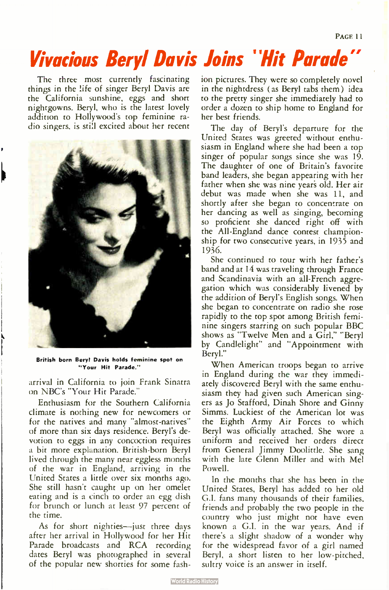# Vivacious Beryl Davis Joins "Hit Parade"

The three most currently fascinating things in the life of singer Beryl Davis are the California sunshine, eggs and short nightgowns. Beryl, who is the latest lovely addition to Hollywood's top feminine radio singers, is still excited about her recent



British born Beryl Davis holds feminine spot on Your Hit Parade."

arrival in California to join Frank Sinatra on NBC's "Your Hit Parade."

Enthusiasm for the Southern California climate is nothing new for newcomers or for the natives and many "almost-natives" of more than six days residence. Beryl's devotion to eggs in any concoction requires a bit more explanation. British-born Beryl lived through the many near eggless months of the war in England, arriving in the United States a little over six months ago. She still hasn't caught up on her omelet eating and is a cinch to order an egg dish for brunch or lunch at least 97 percent of the time.

As for short nighties—just three days after her arrival in Hollywood for her Hit Parade broadcasts and RCA recording dates Beryl was photographed in several of the popular new shorties for some fashion pictures. They were so completely novel in the nightdress ( as Beryl tabs them) idea to the pretty singer she immediately had to order a dozen to ship home to England for her best friends.

The day of Beryl's departure for the United States was greeted without enthusiasm in England where she had been a top singer of popular songs since she was 19. The daughter of one of Britain's favorite band leaders, she began appearing with her father when she was nine years old. Her air debut was made when she was 11, and shortly after she began to concentrate on her dancing as well as singing, becoming so proficient she danced right off with the All- England dance contest championship for two consecutive years, in 1935 and 1936.

She continued to tour with her father's band and at 14 was traveling through France and Scandinavia with an all-French aggregation which was considerably livened by the addition of Beryl's English songs. When she began to concentrate on radio she rose rapidly to the top spot among British feminine singers starring on such popular BBC shows as "Twelve Men and a Girl," " Beryl by Candlelight" and "Appointment with Beryl."

When American troops began to arrive in England during the war they immediately discovered Beryl with the same enthusiasm they had given such American singers as Jo Stafford, Dinah Shore and Ginny Simms. Luckiest of the American lot was the Eighth Army Air Forces to which Beryl was officially attached. She wore a uniform and received her orders direct from General Jimmy Doolittle. She sang with the late Glenn Miller and with Mel Powell.

In the months that she has been in the United States, Beryl has added to her old G.I. fans many thousands of their families, friends and probably the two people in the country who just might not have even known a G.I. in the war years. And if there's a slight shadow of a wonder why for the widespread favor of a girl named Beryl, a short listen to her low-pitched, sultry voice is an answer in itself.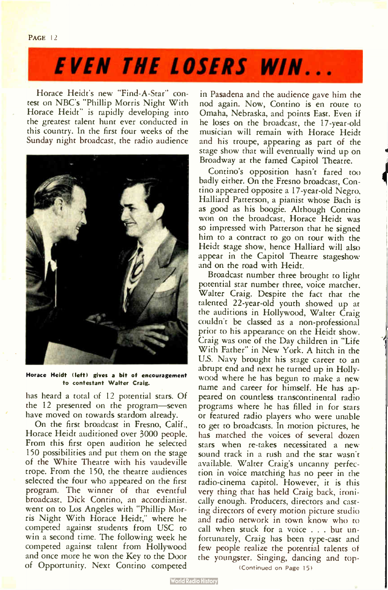# **EVEN THE LOSERS WIN...**

Horace Heidt's new "Find-A-Star" contest on NBC's " Philip Morris Night With Horace Heidt" is rapidly developing into the greatest talent hunt ever conducted in this country. In the first four weeks of the Sunday night broadcast, the radio audience



Horace Heidt (left) gives a bit of encouragement to contestant Walter Craig.

has heard a total of 12 potential stars. Of the 12 presented on the program—seven have moved on towards stardom already.

On the first broadcast in Fresno, Calif., Horace Heidt auditioned over 3000 people. From this first open audition he selected 150 possibilities and put them on the stage of the White Theatre with his vaudeville trope. From the 150, the theatre audiences selected the four who appeared on the first program. The winner of that eventful broadcast, Dick Contino, an accordianist, went on to Los Angeles with " Philip Morris Night With Horace Heidt," where he competed against students from USC to win a second time. The following week he competed against talent from Hollywood and once more he won the Key to the Door of Opportunity. Next Contino competed

in Pasadena and the audience gave him the nod again. Now, Contino is en route to Omaha, Nebraska, and points East. Even if he loses on the broadcast, the 17-year-old musician will remain with Horace Heidt and his troupe, appearing as part of the stage show that will eventually wind up on Broadway at the famed Capitol Theatre.

Contino's opposition hasn't fared too badly either. On the Fresno broadcast, Contino appeared opposite a 17-year-old Negro, Halliard Patterson, a pianist whose Bach is as good as his boogie. Although Contino won on the broadcast, Horace Heidt was so impressed with Patterson that he signed him to a contract to go on tour with the Heidt stage show, hence Halliard will also appear in the Capitol Theatre stageshow and on the road with Heidt.

Broadcast number three brought to light potential star number three, voice matcher, Walter Craig. Despite the fact that the talented 22-year-old youth showed up at the auditions in Hollywood, Walter Craig couldn't be classed as a non-professional prior to his appearance on the Heidt show. Craig was one of the Day children in " Life With Father" in New York. A hitch in the U.S. Navy brought his stage career to an abrupt end and next he turned up in Hollywood where he has begun to make a new name and career for himself. He has appeared on countless transcontinental radio programs where he has filled in for stars or featured radio players who were unable to get to broadcasts. In motion pictures, he has matched the voices of several dozen stars when re-takes necessitated a new sound track in a rush and the star wasn't available. Walter Craig's uncanny perfection in voice matching has no peer in the radio-cinema capitol. However, it is this very thing that has held Craig back, ironically enough. Producers, directors and casting directors of every motion picture studio and radio network in town know who to call when stuck for a voice . . . but unfortunately, Craig has been type-cast and few people realize the potential talents of the youngster. Singing, dancing and top-

(Continued on Page 15)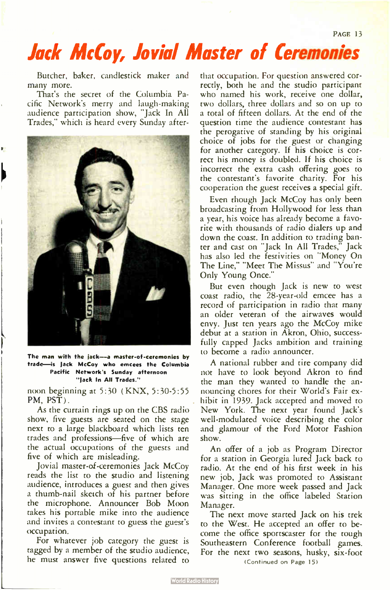# Jack McCoy, Jovial Master of Ceremonies

Butcher, baker, candlestick maker and many more.

That's the secret of the Columbia Pacific Network's merry and laugh-making audience participation show, "Jack In All Trades," which is heard every Sunday after-



The man with the jack-a master-of-ceremonies by trade—is jack McCoy who emcees the Columbia Pacific Network's Sunday afternoon "jack In All Trades."

noon beginning at 5:30 ( KNX, 5:30-5:55 PM, PST).

As the curtain rings up on the CBS radio show, five guests are seated on the stage next to a large blackboard which lists ten trades and professions—five of which are the actual occupations of the guests and five of which are misleading.

Jovial master-of-ceremonies Jack McCoy reads the list to the studio and listening audience, introduces a guest and then gives a thumb-nail sketch of his partner before the microphone. Announcer Bob Moon takes his portable mike into the audience and invites a contestant to guess the guest's occupation.

For whatever job category the guest is tagged by a member of the studio audience, he must answer five questions related to

that occupation. For question answered correctly, both he and the studio participant who named his work, receive one dollar, two dollars, three dollars and so on up to a total of fifteen dollars. At the end of the question time the audience contestant has the perogative of standing by his original choice of jobs for the guest or changing for another category. If his choice is correct his money is doubled. If his choice is incorrect the extra cash offering goes to the contestant's favorite charity. For his cooperation the guest receives a special gift.

Even though Jack McCoy has only been broadcasting from Hollywood for less than a year, his voice has already become a favorite with thousands of radio dialers up and down the coast. In addition to trading banter and cast on "Jack In All Trades," Jack has also led the festivities on "Money On The Line," " Meet The Missus" and " You're Only Young Once."

But even though Jack is new to west coast radio, the 28-year-old emcee has a record of participation in radio that many an older veteran of the airwaves would envy. Just ten years ago the McCoy mike debut at a station in Akron, Ohio, successfully capped Jacks ambition and training to become a radio announcer.

A national rubber and tire company did not have to look beyond Akron to find the man they wanted to handle the announcing chores for their World's Fair exhibit in 1939. Jack accepted and moved to New York. The next year found Jack's well-modulated voice describing the color and glamour of the Ford Motor Fashion show.

An offer of a job as Program Director for a station in Georgia lured Jack back to radio. At the end of his first week in his new job, Jack was promoted to Assistant Manager. One more week passed and Jack was sitting in the office labeled Station Manager.

The next move started Jack on his trek to the West. He accepted an offer to become the office sportscaster for the tough Southeastern Conference football games. For the next two seasons, husky, six-foot (Continued on Page 15)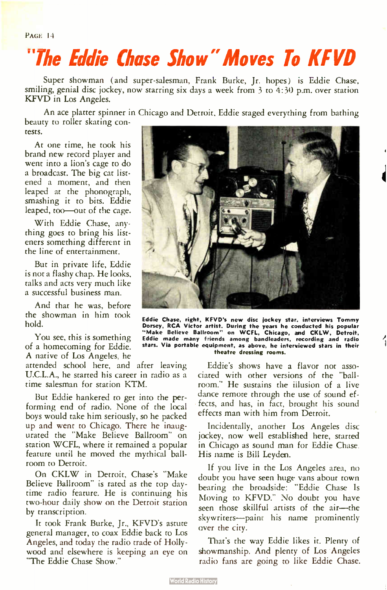# "The Eddie Chase Show" Moves To KFVD

Super showman (and super-salesman, Frank Burke, Jr. hopes) is Eddie Chase, smiling, genial disc jockey, now starring six days a week from 3 to 4:30 p.m. over station KFVD in Los Angeles.

An ace platter spinner in Chicago and Detroit. Eddie staged everything from bathing beauty to roller skating con-

**World Radio History** 

tests.

At one time, he took his brand new record player and went into a lion's cage to do a broadcast. The big cat listened a moment, and then leaped at the phonograph, smashing it to bits. Eddie leaped, too—out of the cage.

With Eddie Chase, anything goes to bring his listeners something different in the line of entertainment.

But in private life, Eddie is not a flashy chap. He looks, talks and acts very much like a successful business man.

And that he was, before the showman in him took hold.

You see, this is something of a homecoming for Eddie. A native of Los Angeles, he

attended school here, and after leaving U.C.L.A., he started his career in radio as a time salesman for station KTM.

But Eddie hankered to get into the performing end of radio. None of the local boys would take him seriously, so he packed up and went to Chicago. There he inaugurated the "Make Believe Ballroom" on station WCFL, where it remained a popular feature until he moved the mythical ballroom to Detroit.

On CKLW in Detroit, Chase's "Make Believe Ballroom" is rated as the top daytime radio feature. He is continuing his two-hour daily show on the Detroit station by transcription.

It took Frank Burke, Jr., KFVD's astute general manager, to coax Eddie back to Los Angeles, and today the radio trade of Hollywood and elsewhere is keeping an eye on "The Eddie Chase Show."



Eddie Chase, right, KFVD's new disc jockey star. interviews Tommy<br>Dorsey, RCA Victor artist. During the years he conducted his popular<br>"Make Believe Ballroom" on WCFL, Chicago, and CKLW, Detroit,<br>Eddie made many friends am stars. Via portable equipment, as above, he interviewed stars in their theatre dressing rooms.

Eddie's shows have a flavor not associated with other versions of the "ballroom." He sustains the illusion of a live dance remote through the use of sound effects, and has, in fact, brought his sound effects man with him from Detroit.

Incidentally, another Los Angeles disc jockey, now well established here, started in Chicago as sound man for Eddie Chase. His name is Bill Leyden.

If you live in the Los Angeles area, no doubt you have seen huge vans about town bearing the broadside: " Eddie Chase Is Moving to KFVD." No doubt you have seen those skillful artists of the air—the skywriters—paint his name prominently over the city.

That's the way Eddie likes it. Plenty of showmanship. And plenty of Los Angeles radio fans are going to like Eddie Chase.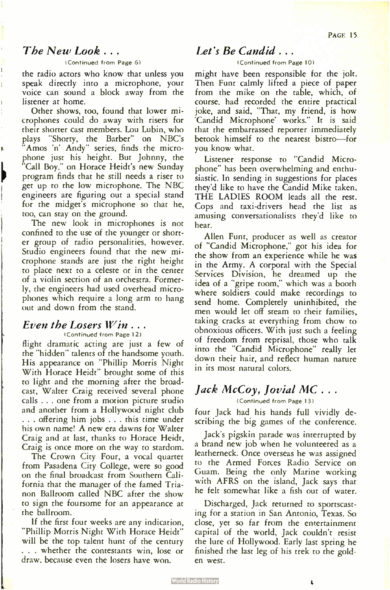### The New Look . . .

### (Continued from Page 6)

the radio actors who know that unless you speak directly into a microphone, your voice can sound a block away from the listener at home.

Other shows, too, found that lower microphones could do away with risers for their shorter cast members. Lou Lubin, who plays "Shorty, the Barber" on NBC's Amos 'n' Andy" series, finds the microphone just his height. But Johnny, the "Call Boy," on Horace Heidt's new Sunday program finds that he still needs a riser to get up to the low microphone. The NBC engineers are figuring out a special stand for the midget's microphone so that he, too, can stay on the ground.

The new look in microphones is not confined to the use of the younger or shorter group of radio personalities, however. Studio engineers found that the new microphone stands are just the right height to place next to a celeste or in the center of a violin section of an orchestra. Formerly, the engineers had used overhead microphones which require a long arm to hang out and down from the stand.

### Even the Losers Win . . . (Continued from Page 12)

flight dramatic acting are just a few of the "hidden" talents of the handsome youth. His appearance on " Phillip Morris Night With Horace Heidt" brought some of this to light and the morning after the broadcast, Walter Craig received several phone calls . . . one from a motion picture studio and another from a Hollywood night club . . . offering him jobs . . . this time under his own name! A new era dawns for Walter Craig and at last, thanks to Horace Heidt, Craig is once more on the way to stardom.

The Crown City Four, a vocal quartet from Pasadena City College, were so good on the final broadcast from Southern California that the manager of the famed Trianon Ballroom called NBC after the show to sign the foursome for an appearance at the ballroom.

If the first four weeks are any indication, "Phillip Morris Night With Horace Heidt" will be the top talent hunt of the century ... whether the contestants win, lose or draw, because even the losers have won.

### Let's Be Candid ...

### (Continued from Page 10)

might have been responsible for the jolt. Then Funt calmly lifted a piece of paper from the mike on the table, which, of course, had recorded the entire practical joke, and said, "That, my friend, is how 'Candid Microphone' works." It is said that the embarrassed reporter immediately betook himself to the nearest bistro—for you know what.

Listener response to "Candid Microphone" has been overwhelming and enthusiastic. In sending in suggestions for places they'd like to have the Candid Mike taken, THE LADIES ROOM leads all the rest. Cops and taxi-drivers head the list as amusing conversationalists they'd like to hear.

Allen Funt, producer as well as creator of " Candid Microphone," got his idea for the show from an experience while he was in the Army. A corporal with the Special Services Division, he dreamed up the idea of a "gripe room," which was a booth where soldiers could make recordings to send home. Completely uninhibited, the men would let off steam to their families, taking cracks at everything from chow to obnoxious officers. With just such a feeling of freedom from reprisal, those who talk into the "Candid Microphone" really let down their hair, and reflect human nature in its most natural colors.

### Jack McCoy, Jovial MC . . .

(Continued from Page 13)

four Jack had his hands full vividly describing the big games of the conference.

Jack's pigskin parade was interrupted by a brand new job when he volunteered as a leatherneck. Once overseas he was assigned to the Armed Forces Radio Service on Guam. Being the only Marine working with AFRS on the island, Jack says that he felt somewhat like a fish out of water.

Discharged, Jack returned to sportscasting for a station in San Antonio, Texas. So close, yet so far from the entertainment capital of the world, Jack couldn't resist the lure of Hollywood. Early last spring he finished the last leg of his trek to the golden west.